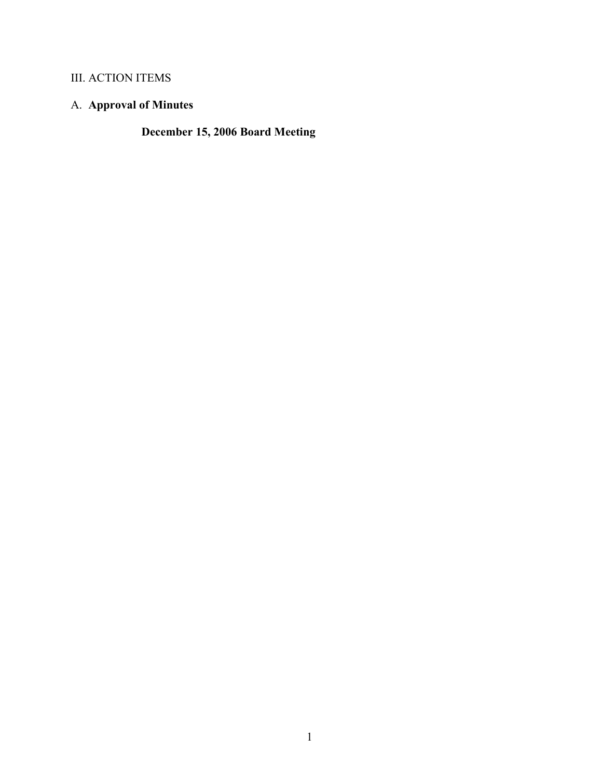# A. **Approval of Minutes**

**December 15, 2006 Board Meeting**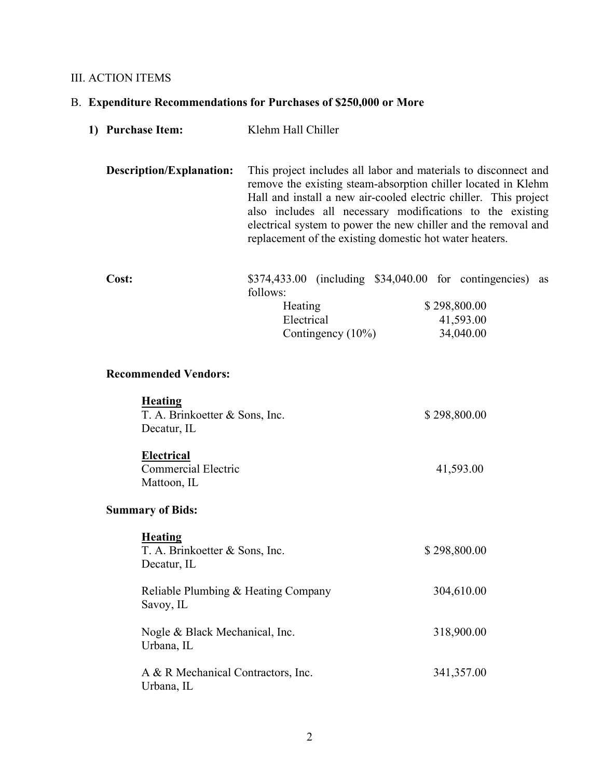#### B. **Expenditure Recommendations for Purchases of \$250,000 or More**

**1) Purchase Item:** Klehm Hall Chiller

**Description/Explanation:** This project includes all labor and materials to disconnect and remove the existing steam-absorption chiller located in Klehm Hall and install a new air-cooled electric chiller. This project also includes all necessary modifications to the existing electrical system to power the new chiller and the removal and replacement of the existing domestic hot water heaters.

| Cost: | follows:   |                      |  | \$374,433.00 (including \$34,040.00 for contingencies) as |  |
|-------|------------|----------------------|--|-----------------------------------------------------------|--|
|       | Heating    |                      |  | \$298,800.00                                              |  |
|       | Electrical |                      |  | 41,593.00                                                 |  |
|       |            | Contingency $(10\%)$ |  | 34,040.00                                                 |  |

### **Recommended Vendors:**

| <b>Heating</b><br>T. A. Brinkoetter & Sons, Inc.<br>Decatur, IL | \$298,800.00 |
|-----------------------------------------------------------------|--------------|
| <b>Electrical</b><br><b>Commercial Electric</b><br>Mattoon, IL  | 41,593.00    |
| <b>Summary of Bids:</b>                                         |              |
| <b>Heating</b><br>T. A. Brinkoetter & Sons, Inc.<br>Decatur, IL | \$298,800.00 |
| Reliable Plumbing & Heating Company<br>Savoy, IL                | 304,610.00   |
| Nogle & Black Mechanical, Inc.<br>Urbana, IL                    | 318,900.00   |
| A & R Mechanical Contractors, Inc.<br>Urbana, IL                | 341, 357.00  |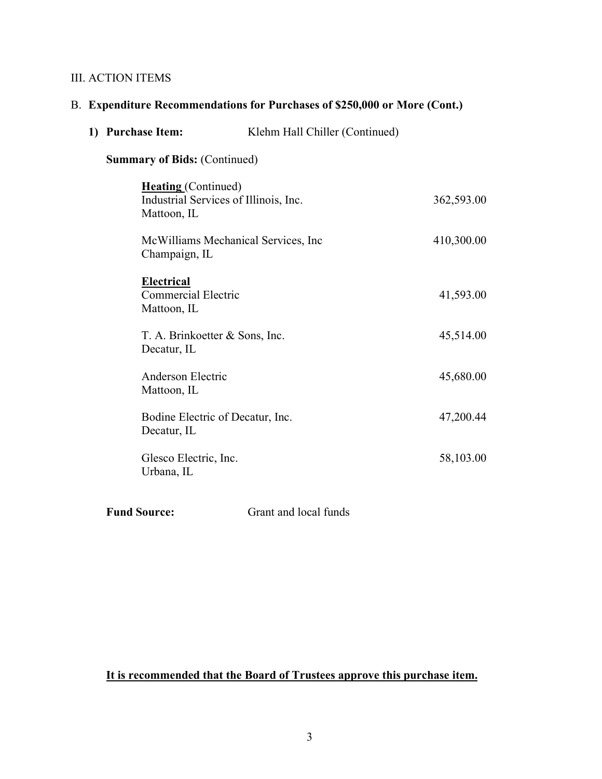# B. **Expenditure Recommendations for Purchases of \$250,000 or More (Cont.)**

|                                                         | Klehm Hall Chiller (Continued) |                                                                                                                                                                                            |
|---------------------------------------------------------|--------------------------------|--------------------------------------------------------------------------------------------------------------------------------------------------------------------------------------------|
|                                                         |                                |                                                                                                                                                                                            |
| <b>Heating</b> (Continued)<br>Mattoon, IL               |                                | 362,593.00                                                                                                                                                                                 |
| Champaign, IL                                           |                                | 410,300.00                                                                                                                                                                                 |
| <b>Electrical</b><br>Commercial Electric<br>Mattoon, IL |                                | 41,593.00                                                                                                                                                                                  |
| Decatur, IL                                             |                                | 45,514.00                                                                                                                                                                                  |
| <b>Anderson Electric</b><br>Mattoon, IL                 |                                | 45,680.00                                                                                                                                                                                  |
| Decatur, IL                                             |                                | 47,200.44                                                                                                                                                                                  |
| Glesco Electric, Inc.<br>Urbana, IL                     |                                | 58,103.00                                                                                                                                                                                  |
|                                                         | 1) Purchase Item:              | <b>Summary of Bids: (Continued)</b><br>Industrial Services of Illinois, Inc.<br>McWilliams Mechanical Services, Inc.<br>T. A. Brinkoetter & Sons, Inc.<br>Bodine Electric of Decatur, Inc. |

Fund Source: Grant and local funds

# **It is recommended that the Board of Trustees approve this purchase item.**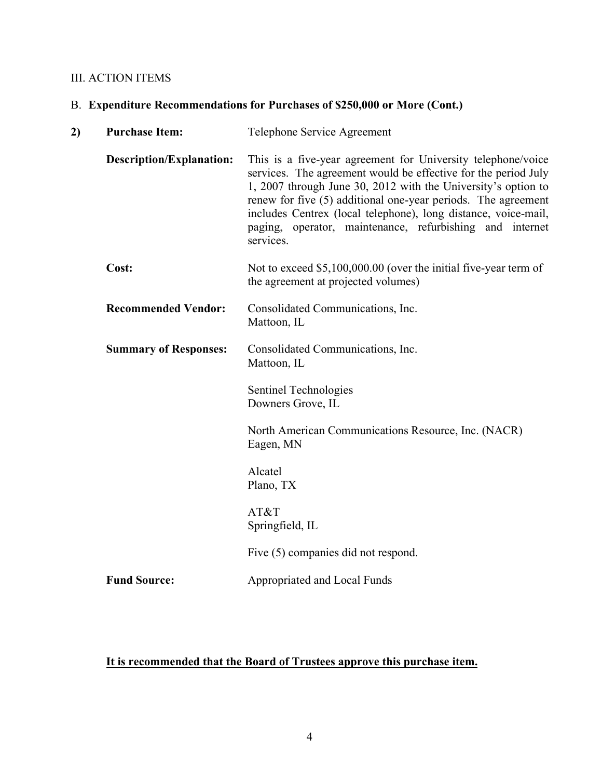# B. **Expenditure Recommendations for Purchases of \$250,000 or More (Cont.)**

| 2) | <b>Purchase Item:</b>           | Telephone Service Agreement                                                                                                                                                                                                                                                                                                                                                                                 |
|----|---------------------------------|-------------------------------------------------------------------------------------------------------------------------------------------------------------------------------------------------------------------------------------------------------------------------------------------------------------------------------------------------------------------------------------------------------------|
|    | <b>Description/Explanation:</b> | This is a five-year agreement for University telephone/voice<br>services. The agreement would be effective for the period July<br>1, 2007 through June 30, 2012 with the University's option to<br>renew for five (5) additional one-year periods. The agreement<br>includes Centrex (local telephone), long distance, voice-mail,<br>paging, operator, maintenance, refurbishing and internet<br>services. |
|    | Cost:                           | Not to exceed \$5,100,000.00 (over the initial five-year term of<br>the agreement at projected volumes)                                                                                                                                                                                                                                                                                                     |
|    | <b>Recommended Vendor:</b>      | Consolidated Communications, Inc.<br>Mattoon, IL                                                                                                                                                                                                                                                                                                                                                            |
|    | <b>Summary of Responses:</b>    | Consolidated Communications, Inc.<br>Mattoon, IL                                                                                                                                                                                                                                                                                                                                                            |
|    |                                 | Sentinel Technologies<br>Downers Grove, IL                                                                                                                                                                                                                                                                                                                                                                  |
|    |                                 | North American Communications Resource, Inc. (NACR)<br>Eagen, MN                                                                                                                                                                                                                                                                                                                                            |
|    |                                 | Alcatel<br>Plano, TX                                                                                                                                                                                                                                                                                                                                                                                        |
|    |                                 | AT&T<br>Springfield, IL                                                                                                                                                                                                                                                                                                                                                                                     |
|    |                                 | Five (5) companies did not respond.                                                                                                                                                                                                                                                                                                                                                                         |
|    | <b>Fund Source:</b>             | Appropriated and Local Funds                                                                                                                                                                                                                                                                                                                                                                                |

# **It is recommended that the Board of Trustees approve this purchase item.**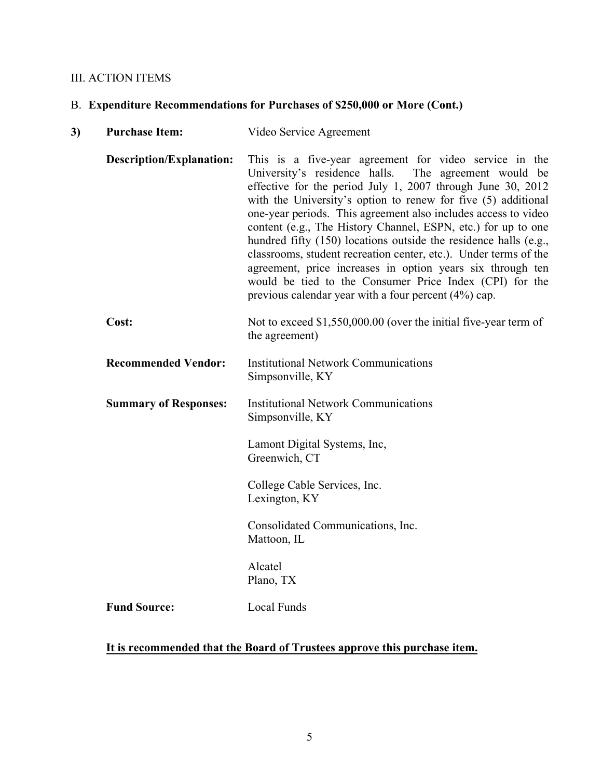### B. **Expenditure Recommendations for Purchases of \$250,000 or More (Cont.)**

| 3) | <b>Purchase Item:</b> | Video Service Agreement |
|----|-----------------------|-------------------------|
|    |                       |                         |

- **Description/Explanation:** This is a five-year agreement for video service in the University's residence halls. The agreement would be effective for the period July 1, 2007 through June 30, 2012 with the University's option to renew for five (5) additional one-year periods. This agreement also includes access to video content (e.g., The History Channel, ESPN, etc.) for up to one hundred fifty (150) locations outside the residence halls (e.g., classrooms, student recreation center, etc.). Under terms of the agreement, price increases in option years six through ten would be tied to the Consumer Price Index (CPI) for the previous calendar year with a four percent (4%) cap.
- **Cost:** Not to exceed \$1,550,000.00 (over the initial five-year term of the agreement)
- **Recommended Vendor:** Institutional Network Communications Simpsonville, KY
- **Summary of Responses:** Institutional Network Communications Simpsonville, KY

Lamont Digital Systems, Inc, Greenwich, CT

College Cable Services, Inc. Lexington, KY

Consolidated Communications, Inc. Mattoon, IL

Alcatel Plano, TX

### **Fund Source:** Local Funds

#### **It is recommended that the Board of Trustees approve this purchase item.**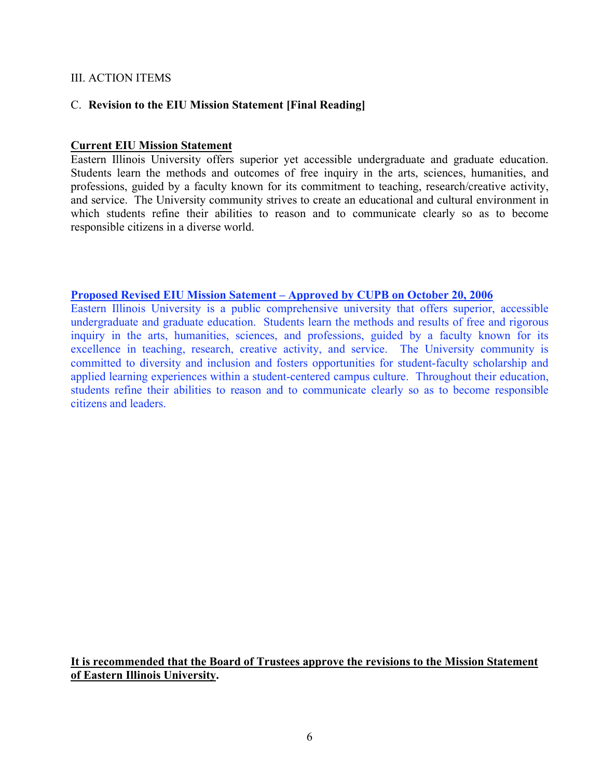### C. **Revision to the EIU Mission Statement [Final Reading]**

### **Current EIU Mission Statement**

Eastern Illinois University offers superior yet accessible undergraduate and graduate education. Students learn the methods and outcomes of free inquiry in the arts, sciences, humanities, and professions, guided by a faculty known for its commitment to teaching, research/creative activity, and service. The University community strives to create an educational and cultural environment in which students refine their abilities to reason and to communicate clearly so as to become responsible citizens in a diverse world.

#### **Proposed Revised EIU Mission Satement – Approved by CUPB on October 20, 2006**

Eastern Illinois University is a public comprehensive university that offers superior, accessible undergraduate and graduate education. Students learn the methods and results of free and rigorous inquiry in the arts, humanities, sciences, and professions, guided by a faculty known for its excellence in teaching, research, creative activity, and service. The University community is committed to diversity and inclusion and fosters opportunities for student-faculty scholarship and applied learning experiences within a student-centered campus culture. Throughout their education, students refine their abilities to reason and to communicate clearly so as to become responsible citizens and leaders.

**It is recommended that the Board of Trustees approve the revisions to the Mission Statement of Eastern Illinois University.**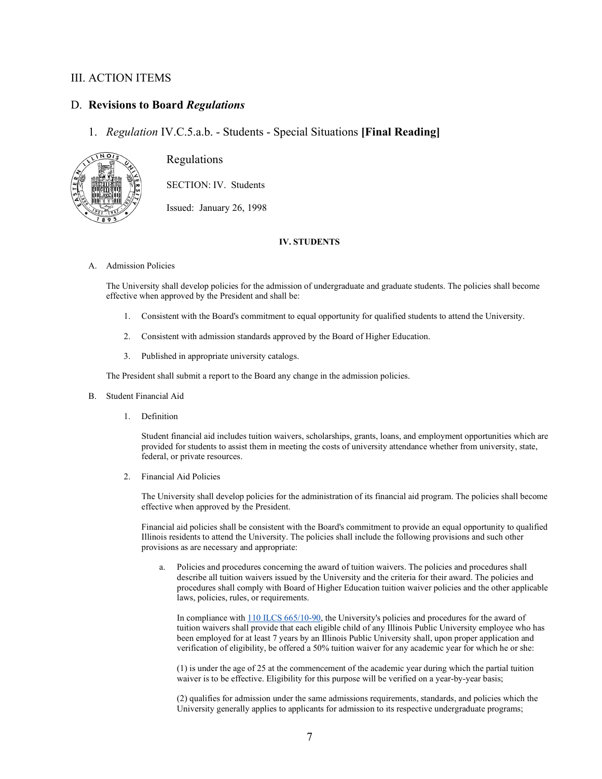#### D. **Revisions to Board** *Regulations*

1. *Regulation* IV.C.5.a.b. - Students - Special Situations **[Final Reading]**



Regulations

SECTION: IV. Students

Issued: January 26, 1998

#### **IV. STUDENTS**

#### A. Admission Policies

The University shall develop policies for the admission of undergraduate and graduate students. The policies shall become effective when approved by the President and shall be:

- 1. Consistent with the Board's commitment to equal opportunity for qualified students to attend the University.
- 2. Consistent with admission standards approved by the Board of Higher Education.
- 3. Published in appropriate university catalogs.

The President shall submit a report to the Board any change in the admission policies.

- B. Student Financial Aid
	- 1. Definition

Student financial aid includes tuition waivers, scholarships, grants, loans, and employment opportunities which are provided for students to assist them in meeting the costs of university attendance whether from university, state, federal, or private resources.

2. Financial Aid Policies

The University shall develop policies for the administration of its financial aid program. The policies shall become effective when approved by the President.

Financial aid policies shall be consistent with the Board's commitment to provide an equal opportunity to qualified Illinois residents to attend the University. The policies shall include the following provisions and such other provisions as are necessary and appropriate:

a. Policies and procedures concerning the award of tuition waivers. The policies and procedures shall describe all tuition waivers issued by the University and the criteria for their award. The policies and procedures shall comply with Board of Higher Education tuition waiver policies and the other applicable laws, policies, rules, or requirements.

In compliance with 110 ILCS 665/10-90, the University's policies and procedures for the award of tuition waivers shall provide that each eligible child of any Illinois Public University employee who has been employed for at least 7 years by an Illinois Public University shall, upon proper application and verification of eligibility, be offered a 50% tuition waiver for any academic year for which he or she:

(1) is under the age of 25 at the commencement of the academic year during which the partial tuition waiver is to be effective. Eligibility for this purpose will be verified on a year-by-year basis;

(2) qualifies for admission under the same admissions requirements, standards, and policies which the University generally applies to applicants for admission to its respective undergraduate programs;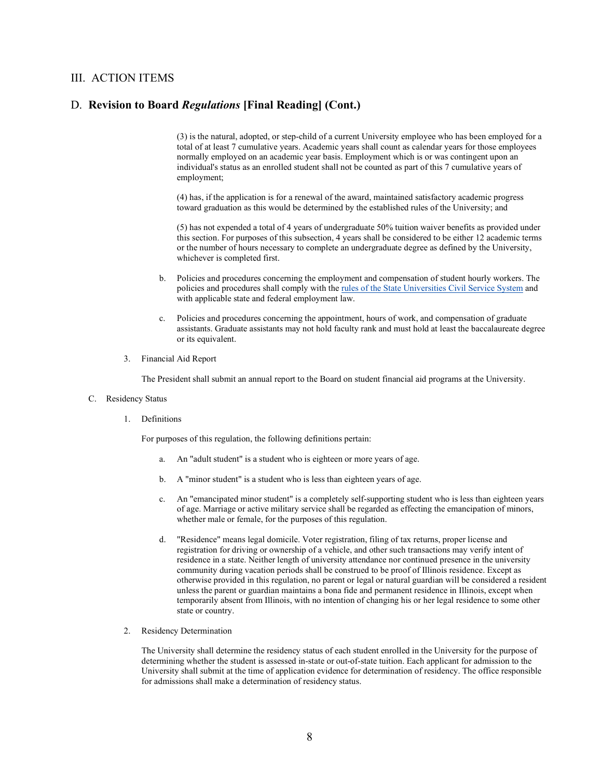#### D. **Revision to Board** *Regulations* **[Final Reading] (Cont.)**

(3) is the natural, adopted, or step-child of a current University employee who has been employed for a total of at least 7 cumulative years. Academic years shall count as calendar years for those employees normally employed on an academic year basis. Employment which is or was contingent upon an individual's status as an enrolled student shall not be counted as part of this 7 cumulative years of employment;

(4) has, if the application is for a renewal of the award, maintained satisfactory academic progress toward graduation as this would be determined by the established rules of the University; and

(5) has not expended a total of 4 years of undergraduate 50% tuition waiver benefits as provided under this section. For purposes of this subsection, 4 years shall be considered to be either 12 academic terms or the number of hours necessary to complete an undergraduate degree as defined by the University, whichever is completed first.

- b. Policies and procedures concerning the employment and compensation of student hourly workers. The policies and procedures shall comply with the rules of the State Universities Civil Service System and with applicable state and federal employment law.
- Policies and procedures concerning the appointment, hours of work, and compensation of graduate assistants. Graduate assistants may not hold faculty rank and must hold at least the baccalaureate degree or its equivalent.
- 3. Financial Aid Report

The President shall submit an annual report to the Board on student financial aid programs at the University.

#### C. Residency Status

1. Definitions

For purposes of this regulation, the following definitions pertain:

- a. An "adult student" is a student who is eighteen or more years of age.
- b. A "minor student" is a student who is less than eighteen years of age.
- c. An "emancipated minor student" is a completely self-supporting student who is less than eighteen years of age. Marriage or active military service shall be regarded as effecting the emancipation of minors, whether male or female, for the purposes of this regulation.
- d. "Residence" means legal domicile. Voter registration, filing of tax returns, proper license and registration for driving or ownership of a vehicle, and other such transactions may verify intent of residence in a state. Neither length of university attendance nor continued presence in the university community during vacation periods shall be construed to be proof of Illinois residence. Except as otherwise provided in this regulation, no parent or legal or natural guardian will be considered a resident unless the parent or guardian maintains a bona fide and permanent residence in Illinois, except when temporarily absent from Illinois, with no intention of changing his or her legal residence to some other state or country.
- 2. Residency Determination

The University shall determine the residency status of each student enrolled in the University for the purpose of determining whether the student is assessed in-state or out-of-state tuition. Each applicant for admission to the University shall submit at the time of application evidence for determination of residency. The office responsible for admissions shall make a determination of residency status.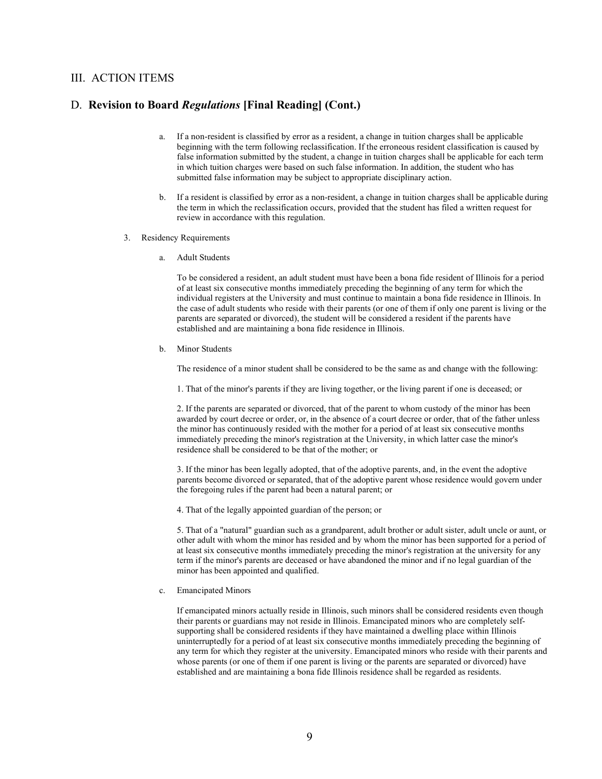#### D. **Revision to Board** *Regulations* **[Final Reading] (Cont.)**

- a. If a non-resident is classified by error as a resident, a change in tuition charges shall be applicable beginning with the term following reclassification. If the erroneous resident classification is caused by false information submitted by the student, a change in tuition charges shall be applicable for each term in which tuition charges were based on such false information. In addition, the student who has submitted false information may be subject to appropriate disciplinary action.
- b. If a resident is classified by error as a non-resident, a change in tuition charges shall be applicable during the term in which the reclassification occurs, provided that the student has filed a written request for review in accordance with this regulation.
- 3. Residency Requirements
	- a. Adult Students

To be considered a resident, an adult student must have been a bona fide resident of Illinois for a period of at least six consecutive months immediately preceding the beginning of any term for which the individual registers at the University and must continue to maintain a bona fide residence in Illinois. In the case of adult students who reside with their parents (or one of them if only one parent is living or the parents are separated or divorced), the student will be considered a resident if the parents have established and are maintaining a bona fide residence in Illinois.

b. Minor Students

The residence of a minor student shall be considered to be the same as and change with the following:

1. That of the minor's parents if they are living together, or the living parent if one is deceased; or

2. If the parents are separated or divorced, that of the parent to whom custody of the minor has been awarded by court decree or order, or, in the absence of a court decree or order, that of the father unless the minor has continuously resided with the mother for a period of at least six consecutive months immediately preceding the minor's registration at the University, in which latter case the minor's residence shall be considered to be that of the mother; or

3. If the minor has been legally adopted, that of the adoptive parents, and, in the event the adoptive parents become divorced or separated, that of the adoptive parent whose residence would govern under the foregoing rules if the parent had been a natural parent; or

4. That of the legally appointed guardian of the person; or

5. That of a "natural" guardian such as a grandparent, adult brother or adult sister, adult uncle or aunt, or other adult with whom the minor has resided and by whom the minor has been supported for a period of at least six consecutive months immediately preceding the minor's registration at the university for any term if the minor's parents are deceased or have abandoned the minor and if no legal guardian of the minor has been appointed and qualified.

c. Emancipated Minors

If emancipated minors actually reside in Illinois, such minors shall be considered residents even though their parents or guardians may not reside in Illinois. Emancipated minors who are completely selfsupporting shall be considered residents if they have maintained a dwelling place within Illinois uninterruptedly for a period of at least six consecutive months immediately preceding the beginning of any term for which they register at the university. Emancipated minors who reside with their parents and whose parents (or one of them if one parent is living or the parents are separated or divorced) have established and are maintaining a bona fide Illinois residence shall be regarded as residents.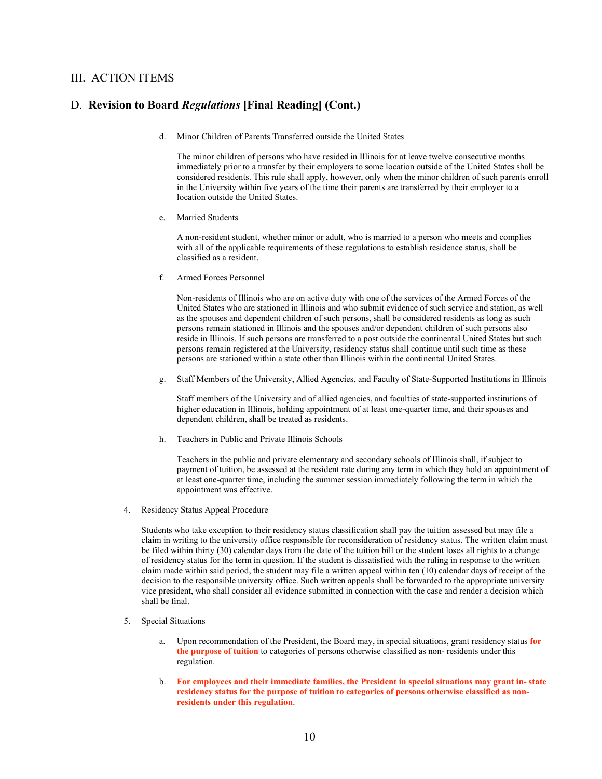#### D. **Revision to Board** *Regulations* **[Final Reading] (Cont.)**

d. Minor Children of Parents Transferred outside the United States

The minor children of persons who have resided in Illinois for at leave twelve consecutive months immediately prior to a transfer by their employers to some location outside of the United States shall be considered residents. This rule shall apply, however, only when the minor children of such parents enroll in the University within five years of the time their parents are transferred by their employer to a location outside the United States.

e. Married Students

A non-resident student, whether minor or adult, who is married to a person who meets and complies with all of the applicable requirements of these regulations to establish residence status, shall be classified as a resident.

f. Armed Forces Personnel

Non-residents of Illinois who are on active duty with one of the services of the Armed Forces of the United States who are stationed in Illinois and who submit evidence of such service and station, as well as the spouses and dependent children of such persons, shall be considered residents as long as such persons remain stationed in Illinois and the spouses and/or dependent children of such persons also reside in Illinois. If such persons are transferred to a post outside the continental United States but such persons remain registered at the University, residency status shall continue until such time as these persons are stationed within a state other than Illinois within the continental United States.

g. Staff Members of the University, Allied Agencies, and Faculty of State-Supported Institutions in Illinois

Staff members of the University and of allied agencies, and faculties of state-supported institutions of higher education in Illinois, holding appointment of at least one-quarter time, and their spouses and dependent children, shall be treated as residents.

h. Teachers in Public and Private Illinois Schools

Teachers in the public and private elementary and secondary schools of Illinois shall, if subject to payment of tuition, be assessed at the resident rate during any term in which they hold an appointment of at least one-quarter time, including the summer session immediately following the term in which the appointment was effective.

4. Residency Status Appeal Procedure

Students who take exception to their residency status classification shall pay the tuition assessed but may file a claim in writing to the university office responsible for reconsideration of residency status. The written claim must be filed within thirty (30) calendar days from the date of the tuition bill or the student loses all rights to a change of residency status for the term in question. If the student is dissatisfied with the ruling in response to the written claim made within said period, the student may file a written appeal within ten (10) calendar days of receipt of the decision to the responsible university office. Such written appeals shall be forwarded to the appropriate university vice president, who shall consider all evidence submitted in connection with the case and render a decision which shall be final.

- 5. Special Situations
	- a. Upon recommendation of the President, the Board may, in special situations, grant residency status **for the purpose of tuition** to categories of persons otherwise classified as non- residents under this regulation.
	- b. **For employees and their immediate families, the President in special situations may grant in- state residency status for the purpose of tuition to categories of persons otherwise classified as nonresidents under this regulation**.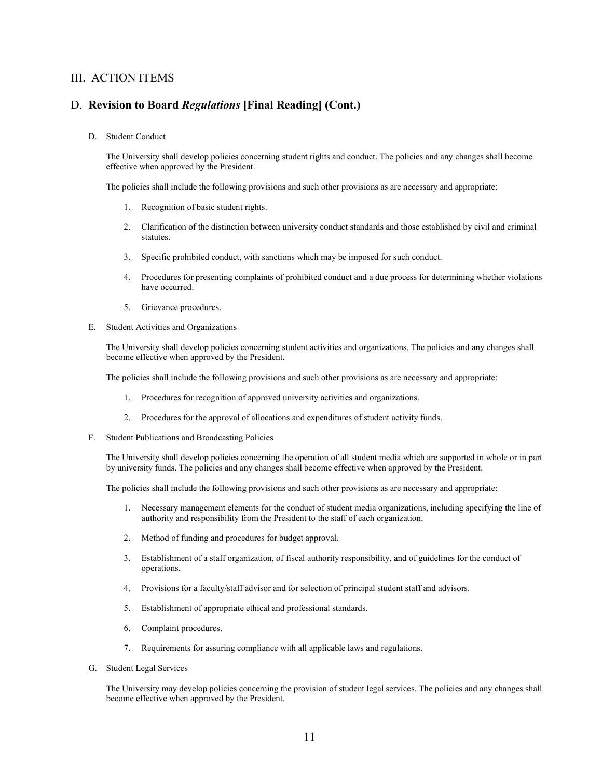### D. **Revision to Board** *Regulations* **[Final Reading] (Cont.)**

D. Student Conduct

The University shall develop policies concerning student rights and conduct. The policies and any changes shall become effective when approved by the President.

The policies shall include the following provisions and such other provisions as are necessary and appropriate:

- 1. Recognition of basic student rights.
- 2. Clarification of the distinction between university conduct standards and those established by civil and criminal statutes.
- 3. Specific prohibited conduct, with sanctions which may be imposed for such conduct.
- 4. Procedures for presenting complaints of prohibited conduct and a due process for determining whether violations have occurred.
- 5. Grievance procedures.
- E. Student Activities and Organizations

The University shall develop policies concerning student activities and organizations. The policies and any changes shall become effective when approved by the President.

The policies shall include the following provisions and such other provisions as are necessary and appropriate:

- 1. Procedures for recognition of approved university activities and organizations.
- 2. Procedures for the approval of allocations and expenditures of student activity funds.
- F. Student Publications and Broadcasting Policies

The University shall develop policies concerning the operation of all student media which are supported in whole or in part by university funds. The policies and any changes shall become effective when approved by the President.

The policies shall include the following provisions and such other provisions as are necessary and appropriate:

- 1. Necessary management elements for the conduct of student media organizations, including specifying the line of authority and responsibility from the President to the staff of each organization.
- 2. Method of funding and procedures for budget approval.
- 3. Establishment of a staff organization, of fiscal authority responsibility, and of guidelines for the conduct of operations.
- 4. Provisions for a faculty/staff advisor and for selection of principal student staff and advisors.
- 5. Establishment of appropriate ethical and professional standards.
- 6. Complaint procedures.
- 7. Requirements for assuring compliance with all applicable laws and regulations.
- G. Student Legal Services

The University may develop policies concerning the provision of student legal services. The policies and any changes shall become effective when approved by the President.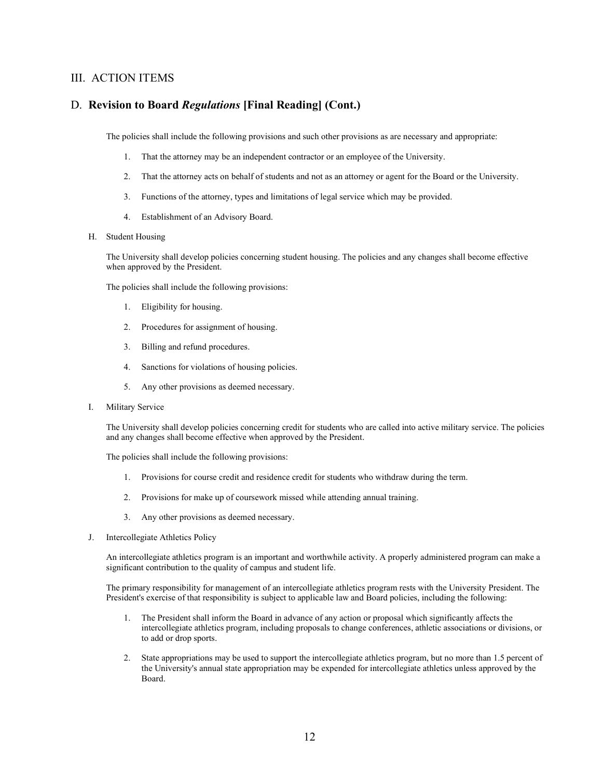#### D. **Revision to Board** *Regulations* **[Final Reading] (Cont.)**

The policies shall include the following provisions and such other provisions as are necessary and appropriate:

- 1. That the attorney may be an independent contractor or an employee of the University.
- 2. That the attorney acts on behalf of students and not as an attorney or agent for the Board or the University.
- 3. Functions of the attorney, types and limitations of legal service which may be provided.
- 4. Establishment of an Advisory Board.
- H. Student Housing

The University shall develop policies concerning student housing. The policies and any changes shall become effective when approved by the President.

The policies shall include the following provisions:

- 1. Eligibility for housing.
- 2. Procedures for assignment of housing.
- 3. Billing and refund procedures.
- 4. Sanctions for violations of housing policies.
- 5. Any other provisions as deemed necessary.
- I. Military Service

The University shall develop policies concerning credit for students who are called into active military service. The policies and any changes shall become effective when approved by the President.

The policies shall include the following provisions:

- 1. Provisions for course credit and residence credit for students who withdraw during the term.
- 2. Provisions for make up of coursework missed while attending annual training.
- 3. Any other provisions as deemed necessary.
- J. Intercollegiate Athletics Policy

An intercollegiate athletics program is an important and worthwhile activity. A properly administered program can make a significant contribution to the quality of campus and student life.

The primary responsibility for management of an intercollegiate athletics program rests with the University President. The President's exercise of that responsibility is subject to applicable law and Board policies, including the following:

- 1. The President shall inform the Board in advance of any action or proposal which significantly affects the intercollegiate athletics program, including proposals to change conferences, athletic associations or divisions, or to add or drop sports.
- 2. State appropriations may be used to support the intercollegiate athletics program, but no more than 1.5 percent of the University's annual state appropriation may be expended for intercollegiate athletics unless approved by the Board.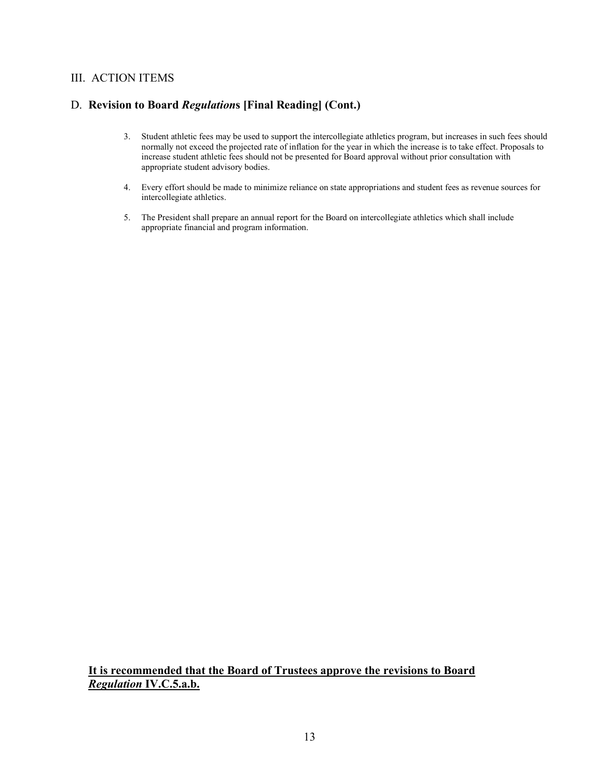# D. **Revision to Board** *Regulation***s [Final Reading] (Cont.)**

- 3. Student athletic fees may be used to support the intercollegiate athletics program, but increases in such fees should normally not exceed the projected rate of inflation for the year in which the increase is to take effect. Proposals to increase student athletic fees should not be presented for Board approval without prior consultation with appropriate student advisory bodies.
- 4. Every effort should be made to minimize reliance on state appropriations and student fees as revenue sources for intercollegiate athletics.
- 5. The President shall prepare an annual report for the Board on intercollegiate athletics which shall include appropriate financial and program information.

**It is recommended that the Board of Trustees approve the revisions to Board** *Regulation* **IV.C.5.a.b.**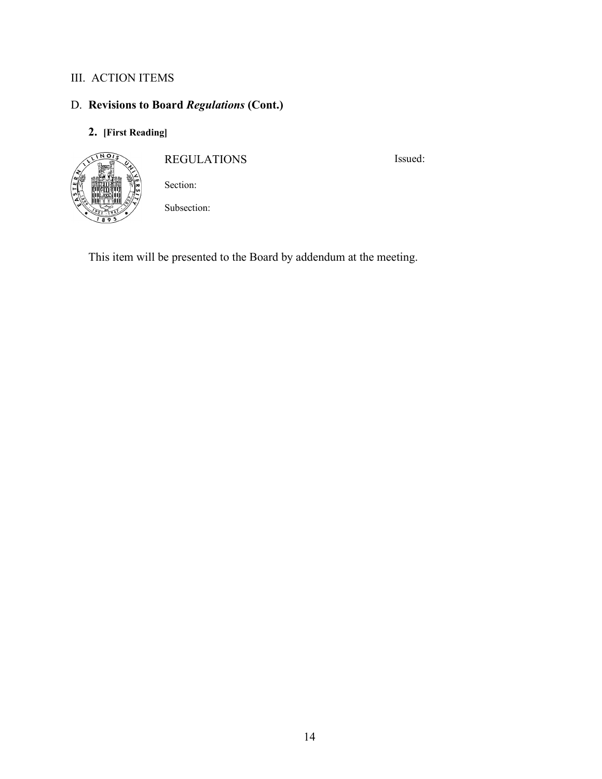# D. **Revisions to Board** *Regulations* **(Cont.)**

# **2. [First Reading]**

# REGULATIONS

Issued:



Subsection:

Section:

This item will be presented to the Board by addendum at the meeting.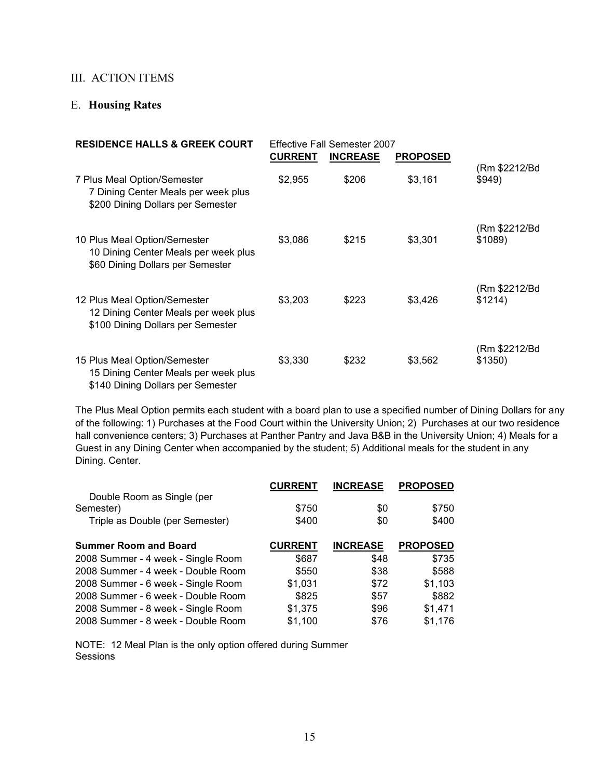# E. **Housing Rates**

| <b>RESIDENCE HALLS &amp; GREEK COURT</b>                                                                  | Effective Fall Semester 2007 |                 |                 |                          |
|-----------------------------------------------------------------------------------------------------------|------------------------------|-----------------|-----------------|--------------------------|
|                                                                                                           | <b>CURRENT</b>               | <b>INCREASE</b> | <b>PROPOSED</b> |                          |
| 7 Plus Meal Option/Semester<br>7 Dining Center Meals per week plus<br>\$200 Dining Dollars per Semester   | \$2,955                      | \$206           | \$3,161         | (Rm \$2212/Bd<br>\$949   |
| 10 Plus Meal Option/Semester<br>10 Dining Center Meals per week plus<br>\$60 Dining Dollars per Semester  | \$3,086                      | \$215           | \$3,301         | (Rm \$2212/Bd<br>\$1089) |
| 12 Plus Meal Option/Semester<br>12 Dining Center Meals per week plus<br>\$100 Dining Dollars per Semester | \$3,203                      | \$223           | \$3,426         | (Rm \$2212/Bd<br>\$1214) |
| 15 Plus Meal Option/Semester<br>15 Dining Center Meals per week plus<br>\$140 Dining Dollars per Semester | \$3,330                      | \$232           | \$3,562         | (Rm \$2212/Bd<br>\$1350) |

The Plus Meal Option permits each student with a board plan to use a specified number of Dining Dollars for any of the following: 1) Purchases at the Food Court within the University Union; 2) Purchases at our two residence hall convenience centers; 3) Purchases at Panther Pantry and Java B&B in the University Union; 4) Meals for a Guest in any Dining Center when accompanied by the student; 5) Additional meals for the student in any Dining. Center.

| <b>PROPOSED</b> |
|-----------------|
|                 |
| \$750           |
| \$400           |
|                 |
| <b>PROPOSED</b> |
| \$735           |
| \$588           |
| \$1,103         |
| \$882           |
| \$1,471         |
| \$1,176         |
|                 |

NOTE: 12 Meal Plan is the only option offered during Summer Sessions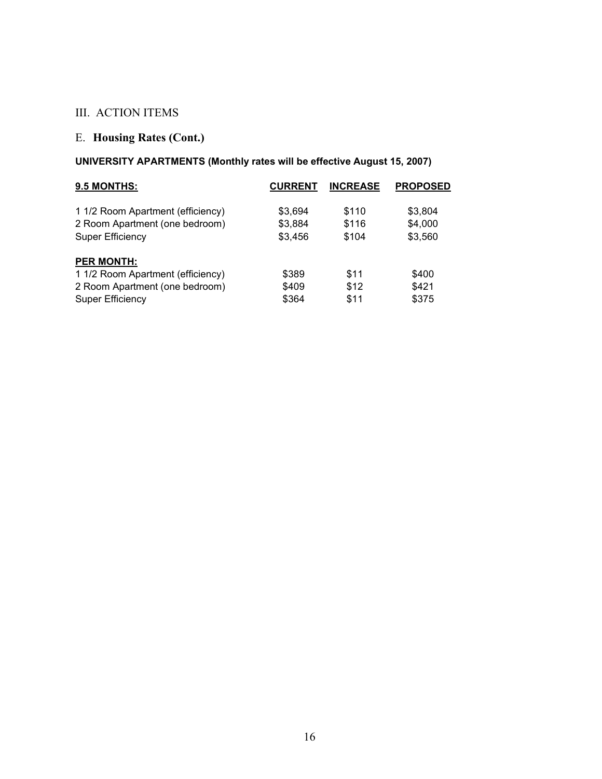# E. **Housing Rates (Cont.)**

# **UNIVERSITY APARTMENTS (Monthly rates will be effective August 15, 2007)**

| 9.5 MONTHS:                       | <b>CURRENT</b> | <b>INCREASE</b> | <b>PROPOSED</b> |
|-----------------------------------|----------------|-----------------|-----------------|
| 1 1/2 Room Apartment (efficiency) | \$3,694        | \$110           | \$3,804         |
| 2 Room Apartment (one bedroom)    | \$3,884        | \$116           | \$4,000         |
| <b>Super Efficiency</b>           | \$3.456        | \$104           | \$3,560         |
| <b>PER MONTH:</b>                 |                |                 |                 |
| 1 1/2 Room Apartment (efficiency) | \$389          | \$11            | \$400           |
| 2 Room Apartment (one bedroom)    | \$409          | \$12            | \$421           |
| <b>Super Efficiency</b>           | \$364          | \$11            | \$375           |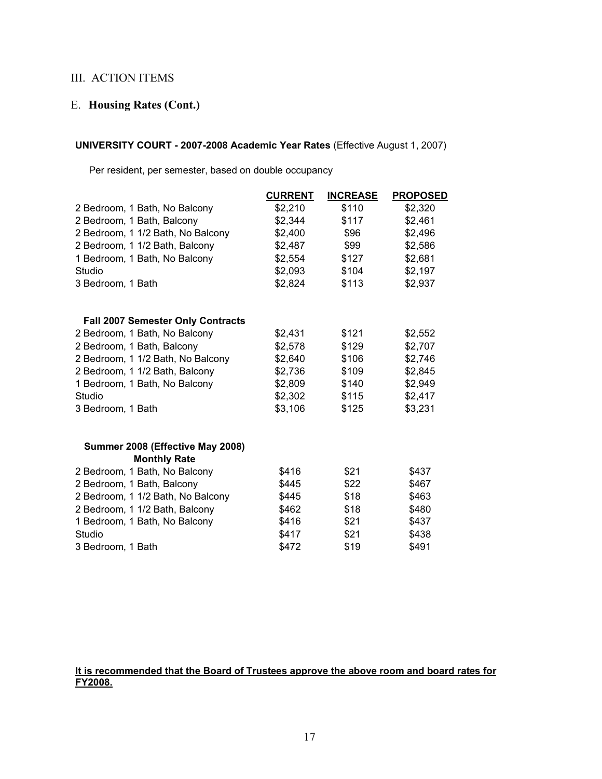# E. **Housing Rates (Cont.)**

### **UNIVERSITY COURT - 2007-2008 Academic Year Rates** (Effective August 1, 2007)

Per resident, per semester, based on double occupancy

|                                          | <b>CURRENT</b> | <b>INCREASE</b> | <b>PROPOSED</b> |
|------------------------------------------|----------------|-----------------|-----------------|
| 2 Bedroom, 1 Bath, No Balcony            | \$2,210        | \$110           | \$2,320         |
| 2 Bedroom, 1 Bath, Balcony               | \$2,344        | \$117           | \$2,461         |
| 2 Bedroom, 1 1/2 Bath, No Balcony        | \$2,400        | \$96            | \$2,496         |
| 2 Bedroom, 1 1/2 Bath, Balcony           | \$2,487        | \$99            | \$2,586         |
| 1 Bedroom, 1 Bath, No Balcony            | \$2,554        | \$127           | \$2,681         |
| Studio                                   | \$2,093        | \$104           | \$2,197         |
| 3 Bedroom, 1 Bath                        | \$2,824        | \$113           | \$2,937         |
| <b>Fall 2007 Semester Only Contracts</b> |                |                 |                 |
| 2 Bedroom, 1 Bath, No Balcony            | \$2,431        | \$121           | \$2,552         |
| 2 Bedroom, 1 Bath, Balcony               | \$2,578        | \$129           | \$2,707         |
| 2 Bedroom, 1 1/2 Bath, No Balcony        | \$2,640        | \$106           | \$2,746         |
| 2 Bedroom, 1 1/2 Bath, Balcony           | \$2,736        | \$109           | \$2,845         |
| 1 Bedroom, 1 Bath, No Balcony            | \$2,809        | \$140           | \$2,949         |
| Studio                                   | \$2,302        | \$115           | \$2,417         |
| 3 Bedroom, 1 Bath                        | \$3,106        | \$125           | \$3,231         |
| Summer 2008 (Effective May 2008)         |                |                 |                 |
| <b>Monthly Rate</b>                      |                |                 |                 |
| 2 Bedroom, 1 Bath, No Balcony            | \$416          | \$21            | \$437           |
| 2 Bedroom, 1 Bath, Balcony               | \$445          | \$22            | \$467           |
| 2 Bedroom, 1 1/2 Bath, No Balcony        | \$445          | \$18            | \$463           |
| 2 Bedroom, 1 1/2 Bath, Balcony           | \$462          | \$18            | \$480           |
| 1 Bedroom, 1 Bath, No Balcony            | \$416          | \$21            | \$437           |
| Studio                                   | \$417          | \$21            | \$438           |
| 3 Bedroom, 1 Bath                        | \$472          | \$19            | \$491           |

#### **It is recommended that the Board of Trustees approve the above room and board rates for FY2008.**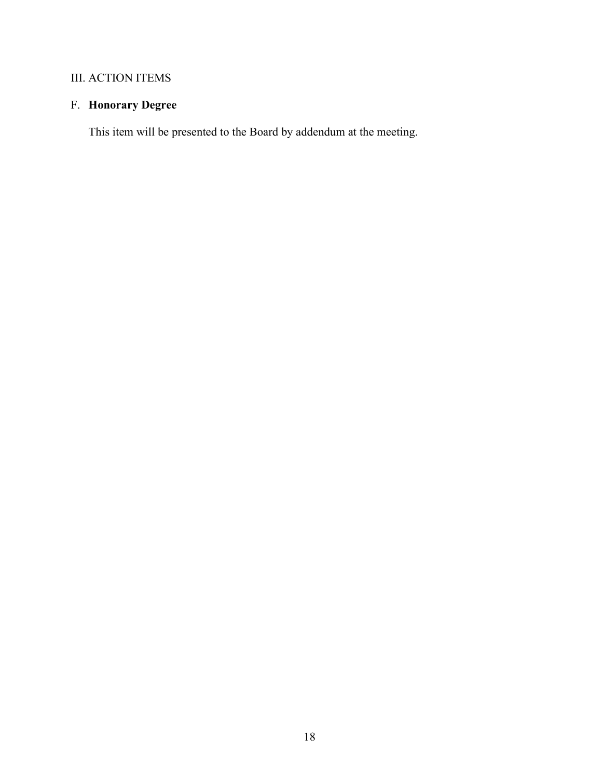# F. **Honorary Degree**

This item will be presented to the Board by addendum at the meeting.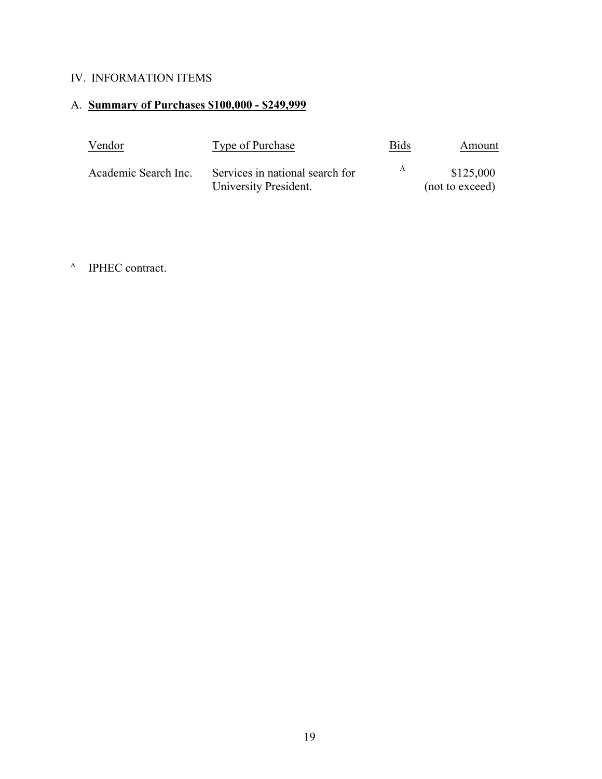# A. **Summary of Purchases \$100,000 - \$249,999**

| Vendor               | Type of Purchase                                         | <b>Bids</b> | Amount                       |
|----------------------|----------------------------------------------------------|-------------|------------------------------|
| Academic Search Inc. | Services in national search for<br>University President. |             | \$125,000<br>(not to exceed) |

# <sup>A</sup> IPHEC contract.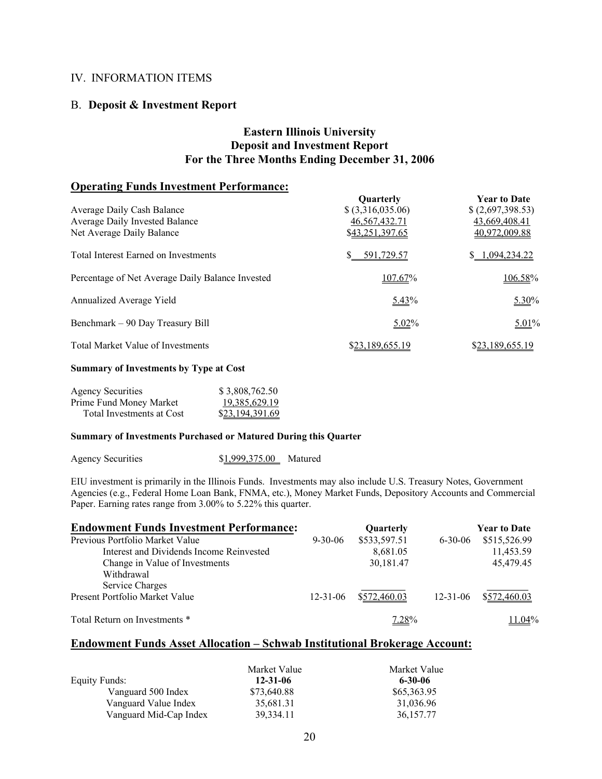#### B. **Deposit & Investment Report**

### **Eastern Illinois University Deposit and Investment Report For the Three Months Ending December 31, 2006**

#### **Operating Funds Investment Performance:**

|                                                  | Quarterly            | <b>Year to Date</b> |
|--------------------------------------------------|----------------------|---------------------|
| Average Daily Cash Balance                       | $$$ $(3,316,035.06)$ | (2,697,398.53)      |
| Average Daily Invested Balance                   | 46, 567, 432. 71     | 43,669,408.41       |
| Net Average Daily Balance                        | \$43,251,397.65      | 40,972,009.88       |
| <b>Total Interest Earned on Investments</b>      | 591,729.57           | 1,094,234.22        |
| Percentage of Net Average Daily Balance Invested | 107.67%              | 106.58%             |
| Annualized Average Yield                         | $5.43\%$             | $5.30\%$            |
| Benchmark – 90 Day Treasury Bill                 | 5.02%                | 5.01%               |
| <b>Total Market Value of Investments</b>         | \$23,189,655.19      | \$23,189,655.19     |

#### **Summary of Investments by Type at Cost**

| <b>Agency Securities</b>  | \$3,808,762.50  |
|---------------------------|-----------------|
| Prime Fund Money Market   | 19,385,629.19   |
| Total Investments at Cost | \$23,194,391.69 |

#### **Summary of Investments Purchased or Matured During this Quarter**

| <b>Agency Securities</b> | \$1,999,375.00 Matured |  |
|--------------------------|------------------------|--|
|                          |                        |  |

EIU investment is primarily in the Illinois Funds. Investments may also include U.S. Treasury Notes, Government Agencies (e.g., Federal Home Loan Bank, FNMA, etc.), Money Market Funds, Depository Accounts and Commercial Paper. Earning rates range from 3.00% to 5.22% this quarter.

| <b>Endowment Funds Investment Performance:</b> |                | Quarterly    |                | <b>Year to Date</b> |
|------------------------------------------------|----------------|--------------|----------------|---------------------|
| Previous Portfolio Market Value                | $9 - 30 - 06$  | \$533,597.51 | $6 - 30 - 06$  | \$515,526.99        |
| Interest and Dividends Income Reinvested       |                | 8,681.05     |                | 11,453.59           |
| Change in Value of Investments                 |                | 30,181.47    |                | 45,479.45           |
| Withdrawal                                     |                |              |                |                     |
| Service Charges                                |                |              |                |                     |
| Present Portfolio Market Value                 | $12 - 31 - 06$ | \$572,460.03 | $12 - 31 - 06$ | \$572,460.03        |
| Total Return on Investments *                  |                | 7.28%        |                | 11.04%              |

#### **Endowment Funds Asset Allocation – Schwab Institutional Brokerage Account:**

|                        | Market Value   | Market Value |
|------------------------|----------------|--------------|
| Equity Funds:          | $12 - 31 - 06$ | 6-30-06      |
| Vanguard 500 Index     | \$73,640.88    | \$65,363.95  |
| Vanguard Value Index   | 35,681.31      | 31,036.96    |
| Vanguard Mid-Cap Index | 39,334.11      | 36,157.77    |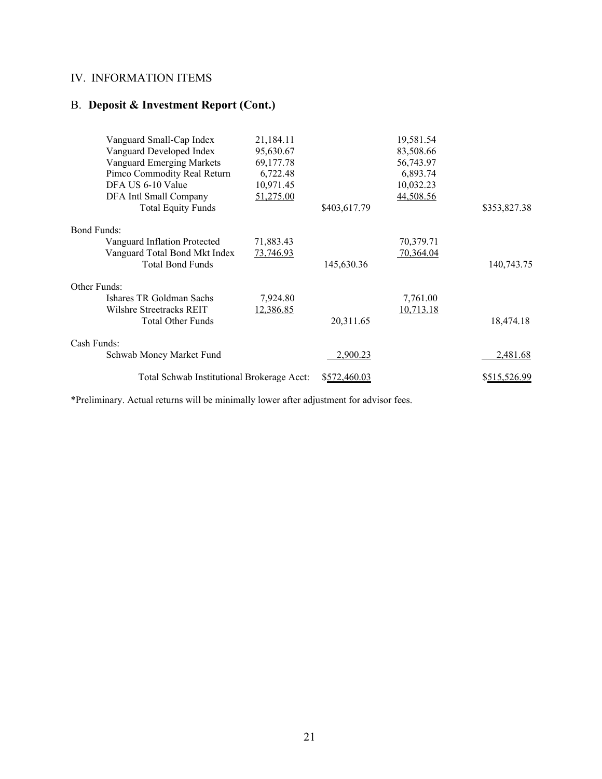# B. **Deposit & Investment Report (Cont.)**

| Vanguard Small-Cap Index                   | 21,184.11        |              | 19,581.54        |                     |
|--------------------------------------------|------------------|--------------|------------------|---------------------|
| Vanguard Developed Index                   | 95,630.67        |              | 83,508.66        |                     |
| <b>Vanguard Emerging Markets</b>           | 69,177.78        |              | 56,743.97        |                     |
| Pimco Commodity Real Return                | 6,722.48         |              | 6,893.74         |                     |
| DFA US 6-10 Value                          | 10,971.45        |              | 10,032.23        |                     |
| DFA Intl Small Company                     | 51,275.00        |              | 44,508.56        |                     |
| <b>Total Equity Funds</b>                  |                  | \$403,617.79 |                  | \$353,827.38        |
| Bond Funds:                                |                  |              |                  |                     |
| Vanguard Inflation Protected               | 71,883.43        |              | 70,379.71        |                     |
| Vanguard Total Bond Mkt Index              | 73,746.93        |              | 70,364.04        |                     |
| <b>Total Bond Funds</b>                    |                  | 145,630.36   |                  | 140,743.75          |
| Other Funds:                               |                  |              |                  |                     |
| Ishares TR Goldman Sachs                   | 7,924.80         |              | 7,761.00         |                     |
| Wilshre Streetracks REIT                   | <u>12,386.85</u> |              | <u>10,713.18</u> |                     |
| <b>Total Other Funds</b>                   |                  | 20,311.65    |                  | 18,474.18           |
| Cash Funds:                                |                  |              |                  |                     |
| Schwab Money Market Fund                   |                  | 2,900.23     |                  | 2,481.68            |
| Total Schwab Institutional Brokerage Acct: |                  | \$572,460.03 |                  | <u>\$515,526.99</u> |
|                                            |                  |              |                  |                     |

\*Preliminary. Actual returns will be minimally lower after adjustment for advisor fees.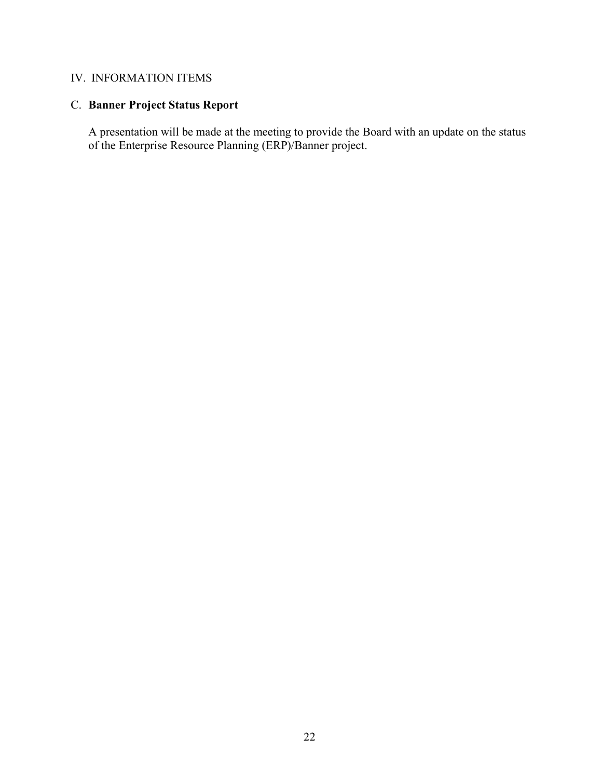# C. **Banner Project Status Report**

A presentation will be made at the meeting to provide the Board with an update on the status of the Enterprise Resource Planning (ERP)/Banner project.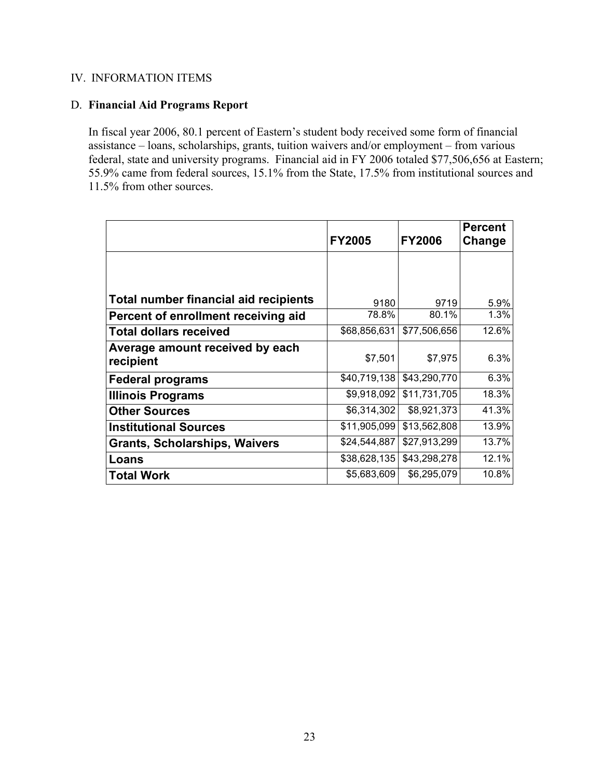# D. **Financial Aid Programs Report**

In fiscal year 2006, 80.1 percent of Eastern's student body received some form of financial assistance – loans, scholarships, grants, tuition waivers and/or employment – from various federal, state and university programs. Financial aid in FY 2006 totaled \$77,506,656 at Eastern; 55.9% came from federal sources, 15.1% from the State, 17.5% from institutional sources and 11.5% from other sources.

|                                              | <b>FY2005</b> | <b>FY2006</b> | <b>Percent</b><br>Change |
|----------------------------------------------|---------------|---------------|--------------------------|
|                                              |               |               |                          |
| <b>Total number financial aid recipients</b> | 9180          | 9719          | 5.9%                     |
| Percent of enrollment receiving aid          | 78.8%         | 80.1%         | 1.3%                     |
| <b>Total dollars received</b>                | \$68,856,631  | \$77,506,656  | 12.6%                    |
| Average amount received by each<br>recipient | \$7,501       | \$7,975       | 6.3%                     |
| Federal programs                             | \$40,719,138  | \$43,290,770  | 6.3%                     |
| <b>Illinois Programs</b>                     | \$9,918,092   | \$11,731,705  | 18.3%                    |
| <b>Other Sources</b>                         | \$6,314,302   | \$8,921,373   | 41.3%                    |
| <b>Institutional Sources</b>                 | \$11,905,099  | \$13,562,808  | 13.9%                    |
| <b>Grants, Scholarships, Waivers</b>         | \$24,544,887  | \$27,913,299  | 13.7%                    |
| Loans                                        | \$38,628,135  | \$43,298,278  | 12.1%                    |
| <b>Total Work</b>                            | \$5,683,609   | \$6,295,079   | 10.8%                    |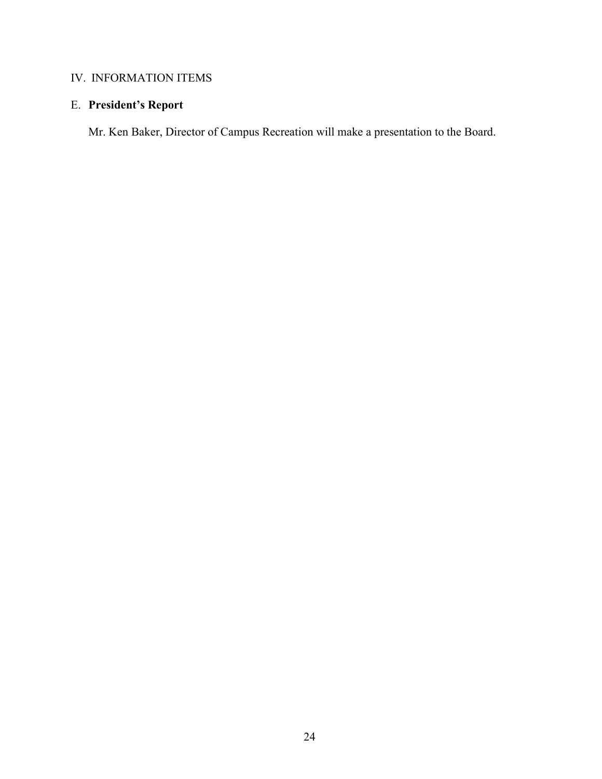# E. **President's Report**

Mr. Ken Baker, Director of Campus Recreation will make a presentation to the Board.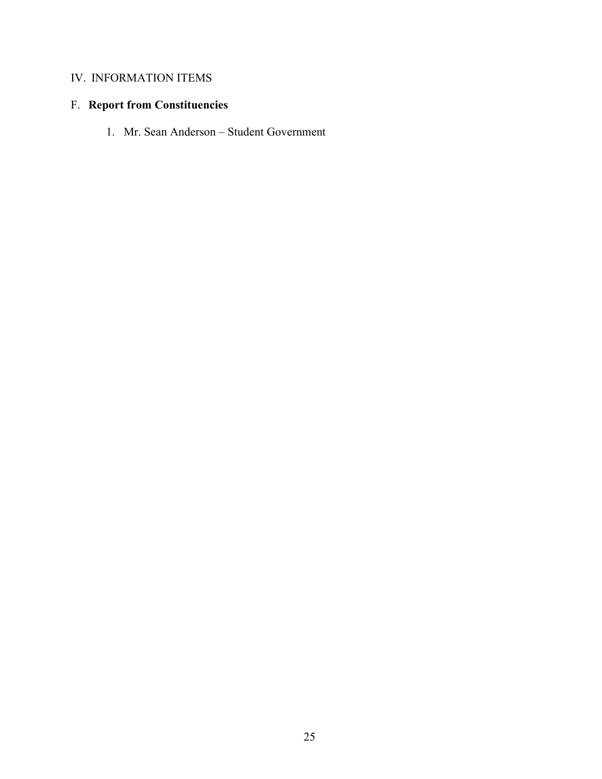# F. **Report from Constituencies**

1. Mr. Sean Anderson – Student Government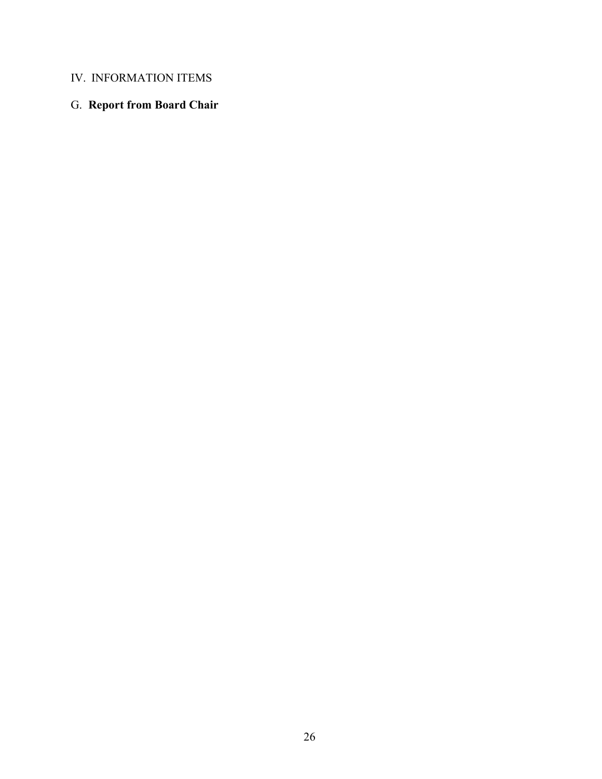# G. **Report from Board Chair**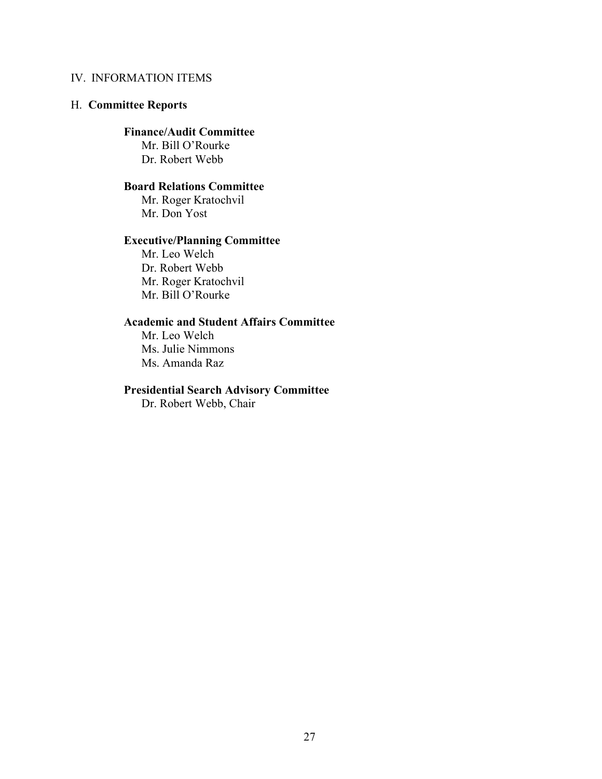# H. **Committee Reports**

## **Finance/Audit Committee**

Mr. Bill O'Rourke Dr. Robert Webb

# **Board Relations Committee**

Mr. Roger Kratochvil Mr. Don Yost

### **Executive/Planning Committee**

Mr. Leo Welch Dr. Robert Webb Mr. Roger Kratochvil Mr. Bill O'Rourke

### **Academic and Student Affairs Committee**

Mr. Leo Welch Ms. Julie Nimmons Ms. Amanda Raz

### **Presidential Search Advisory Committee**

Dr. Robert Webb, Chair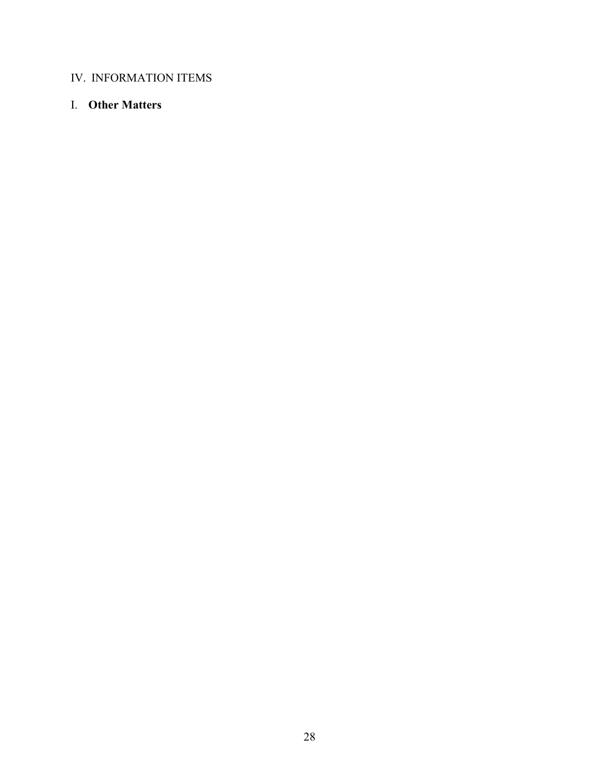# I. **Other Matters**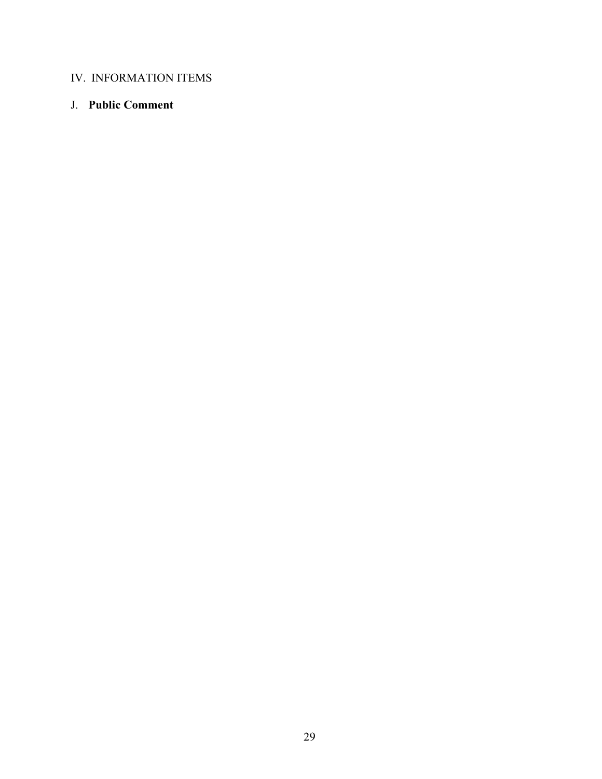# J. **Public Comment**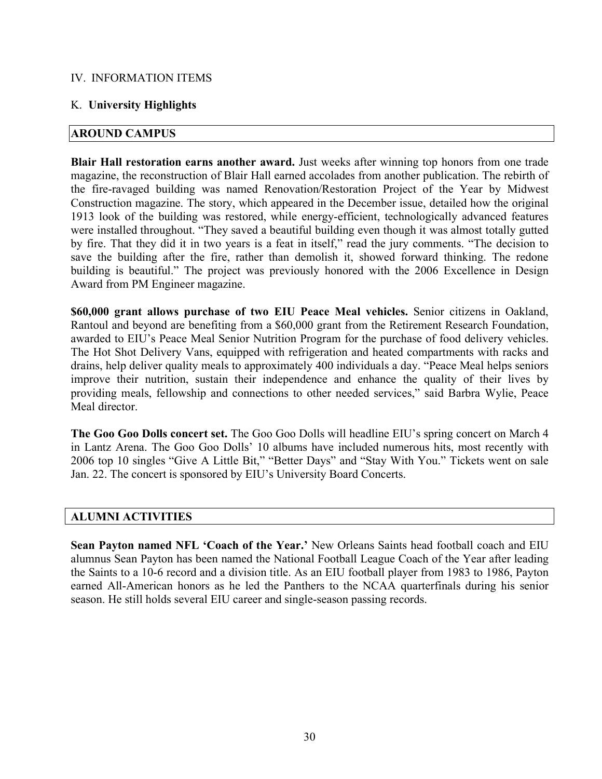### K. **University Highlights**

### **AROUND CAMPUS**

**Blair Hall restoration earns another award.** Just weeks after winning top honors from one trade magazine, the reconstruction of Blair Hall earned accolades from another publication. The rebirth of the fire-ravaged building was named Renovation/Restoration Project of the Year by Midwest Construction magazine. The story, which appeared in the December issue, detailed how the original 1913 look of the building was restored, while energy-efficient, technologically advanced features were installed throughout. "They saved a beautiful building even though it was almost totally gutted by fire. That they did it in two years is a feat in itself," read the jury comments. "The decision to save the building after the fire, rather than demolish it, showed forward thinking. The redone building is beautiful." The project was previously honored with the 2006 Excellence in Design Award from PM Engineer magazine.

**\$60,000 grant allows purchase of two EIU Peace Meal vehicles.** Senior citizens in Oakland, Rantoul and beyond are benefiting from a \$60,000 grant from the Retirement Research Foundation, awarded to EIU's Peace Meal Senior Nutrition Program for the purchase of food delivery vehicles. The Hot Shot Delivery Vans, equipped with refrigeration and heated compartments with racks and drains, help deliver quality meals to approximately 400 individuals a day. "Peace Meal helps seniors improve their nutrition, sustain their independence and enhance the quality of their lives by providing meals, fellowship and connections to other needed services," said Barbra Wylie, Peace Meal director.

**The Goo Goo Dolls concert set.** The Goo Goo Dolls will headline EIU's spring concert on March 4 in Lantz Arena. The Goo Goo Dolls' 10 albums have included numerous hits, most recently with 2006 top 10 singles "Give A Little Bit," "Better Days" and "Stay With You." Tickets went on sale Jan. 22. The concert is sponsored by EIU's University Board Concerts.

### **ALUMNI ACTIVITIES**

**Sean Payton named NFL 'Coach of the Year.'** New Orleans Saints head football coach and EIU alumnus Sean Payton has been named the National Football League Coach of the Year after leading the Saints to a 10-6 record and a division title. As an EIU football player from 1983 to 1986, Payton earned All-American honors as he led the Panthers to the NCAA quarterfinals during his senior season. He still holds several EIU career and single-season passing records.